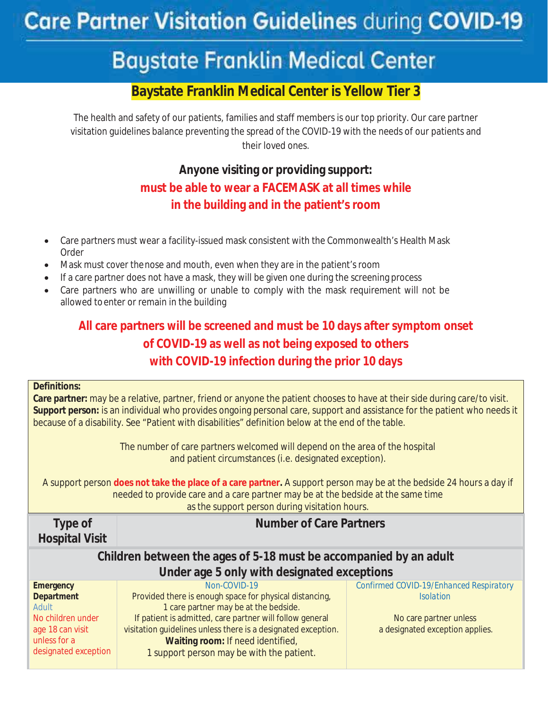# **Care Partner Visitation Guidelines during COVID-19**

# **Baystate Franklin Medical Center \_\_\_\_\_\_\_\_\_\_\_\_\_\_\_\_\_\_\_\_\_\_\_\_\_\_\_\_\_\_\_\_\_\_\_\_\_\_\_\_\_\_\_\_\_\_\_\_\_\_\_\_\_\_\_\_\_\_\_\_\_\_\_\_**

# **Baystate Franklin Medical Center is Yellow Tier 3**

The health and safety of our patients, families and staff members is our top priority. Our care partner visitation guidelines balance preventing the spread of the COVID-19 with the needs of our patients and their loved ones.

# **Anyone visiting or providing support: must be able to wear a FACEMASK at all times while in the building and in the patient's room**

- x Care partners must wear a facility-issued mask consistent with the Commonwealth's Health Mask Order
- Mask must cover the nose and mouth, even when they are in the patient's room
- If a care partner does not have a mask, they will be given one during the screening process
- Care partners who are unwilling or unable to comply with the mask requirement will not be allowed to enter or remain in the building

## **All care partners will be screened and must be 10 days after symptom onset of COVID-19 as well as not being exposed to others with COVID-19 infection during the prior 10 days**

#### **Definitions:**

**Care partner:** may be a relative, partner, friend or anyone the patient chooses to have at their side during care/to visit. **Support person:** is an individual who provides ongoing personal care, support and assistance for the patient who needs it because of a disability. See "Patient with disabilities" definition below at the end of the table.

> The number of care partners welcomed will depend on the area of the hospital and patient circumstances (i.e. designated exception).

A support person **does not take the place of a care partner.** A support person may be at the bedside 24 hours a day if needed to provide care and a care partner may be at the bedside at the same time as the support person during visitation hours.

**Type of Hospital Visit** 

## **Number of Care Partners**

## **Children between the ages of 5-18 must be accompanied by an adult Under age 5 only with designated exceptions**

| <b>Emergency</b>     | Non-COVID-19                                                  | Confirmed COVID-19/Enhanced Respiratory |
|----------------------|---------------------------------------------------------------|-----------------------------------------|
| <b>Department</b>    | Provided there is enough space for physical distancing,       | <i>Isolation</i>                        |
| Adult                | 1 care partner may be at the bedside.                         |                                         |
| No children under    | If patient is admitted, care partner will follow general      | No care partner unless                  |
| age 18 can visit     | visitation guidelines unless there is a designated exception. | a designated exception applies.         |
| unless for a         | Waiting room: If need identified,                             |                                         |
| designated exception | 1 support person may be with the patient.                     |                                         |
|                      |                                                               |                                         |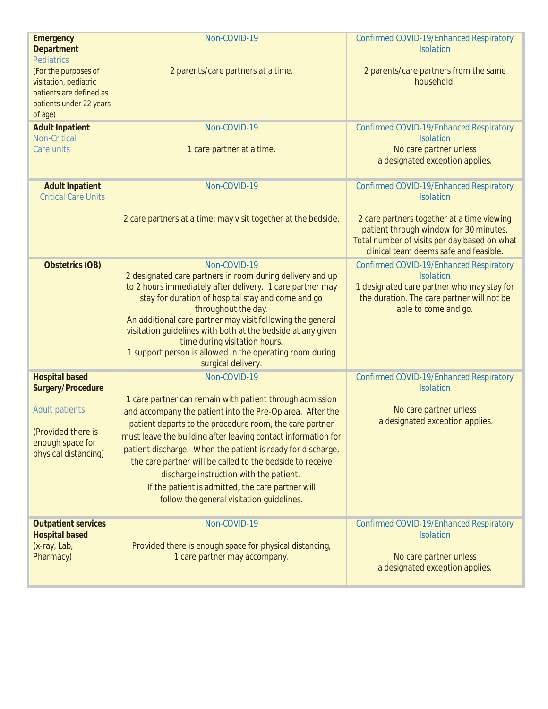| <b>Emergency</b><br><b>Department</b><br><b>Pediatrics</b>                                                     | Non-COVID-19                                                                                                                                                                                                                                                                                                                                                                                                                                                        | Confirmed COVID-19/Enhanced Respiratory<br><b>Isolation</b>                                                                                                                     |
|----------------------------------------------------------------------------------------------------------------|---------------------------------------------------------------------------------------------------------------------------------------------------------------------------------------------------------------------------------------------------------------------------------------------------------------------------------------------------------------------------------------------------------------------------------------------------------------------|---------------------------------------------------------------------------------------------------------------------------------------------------------------------------------|
| (For the purposes of<br>visitation, pediatric<br>patients are defined as<br>patients under 22 years<br>of age) | 2 parents/care partners at a time.                                                                                                                                                                                                                                                                                                                                                                                                                                  | 2 parents/care partners from the same<br>household.                                                                                                                             |
| <b>Adult Inpatient</b><br>Non-Critical<br>Care units                                                           | Non-COVID-19<br>1 care partner at a time.                                                                                                                                                                                                                                                                                                                                                                                                                           | Confirmed COVID-19/Enhanced Respiratory<br><b>Isolation</b><br>No care partner unless<br>a designated exception applies.                                                        |
| <b>Adult Inpatient</b><br><b>Critical Care Units</b>                                                           | Non-COVID-19                                                                                                                                                                                                                                                                                                                                                                                                                                                        | Confirmed COVID-19/Enhanced Respiratory<br><b>Isolation</b>                                                                                                                     |
|                                                                                                                | 2 care partners at a time; may visit together at the bedside.                                                                                                                                                                                                                                                                                                                                                                                                       | 2 care partners together at a time viewing<br>patient through window for 30 minutes.<br>Total number of visits per day based on what<br>clinical team deems safe and feasible.  |
| <b>Obstetrics (OB)</b>                                                                                         | Non-COVID-19<br>2 designated care partners in room during delivery and up<br>to 2 hours immediately after delivery. 1 care partner may<br>stay for duration of hospital stay and come and go<br>throughout the day.<br>An additional care partner may visit following the general<br>visitation guidelines with both at the bedside at any given<br>time during visitation hours.<br>1 support person is allowed in the operating room during<br>surgical delivery. | Confirmed COVID-19/Enhanced Respiratory<br><b>Isolation</b><br>1 designated care partner who may stay for<br>the duration. The care partner will not be<br>able to come and go. |
| <b>Hospital based</b><br>Surgery/Procedure                                                                     | Non-COVID-19                                                                                                                                                                                                                                                                                                                                                                                                                                                        | Confirmed COVID-19/Enhanced Respiratory<br><b>Isolation</b>                                                                                                                     |
| <b>Adult patients</b><br>(Provided there is<br>enough space for<br>physical distancing)                        | 1 care partner can remain with patient through admission<br>and accompany the patient into the Pre-Op area. After the<br>patient departs to the procedure room, the care partner<br>must leave the building after leaving contact information for<br>patient discharge. When the patient is ready for discharge,<br>the care partner will be called to the bedside to receive                                                                                       | No care partner unless<br>a designated exception applies.                                                                                                                       |
|                                                                                                                | discharge instruction with the patient.<br>If the patient is admitted, the care partner will<br>follow the general visitation guidelines.                                                                                                                                                                                                                                                                                                                           |                                                                                                                                                                                 |
| <b>Outpatient services</b><br><b>Hospital based</b><br>(x-ray, Lab,<br>Pharmacy)                               | Non-COVID-19<br>Provided there is enough space for physical distancing,<br>1 care partner may accompany.                                                                                                                                                                                                                                                                                                                                                            | Confirmed COVID-19/Enhanced Respiratory<br><b>Isolation</b><br>No care partner unless<br>a designated exception applies.                                                        |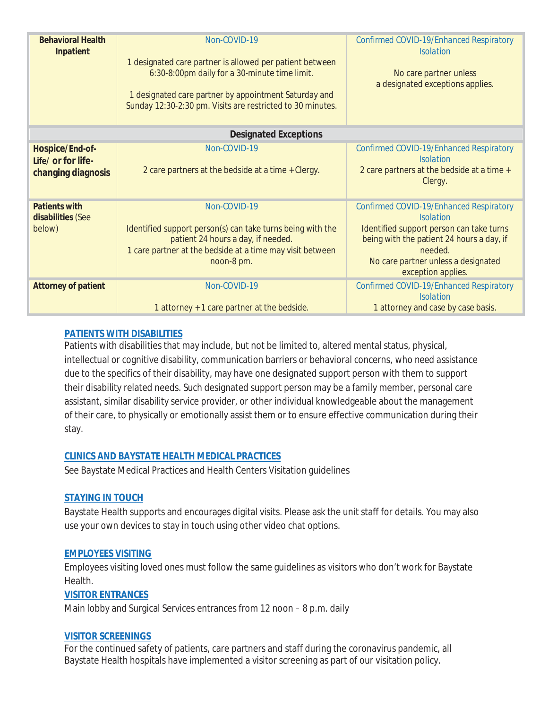| <b>Behavioral Health</b><br>Inpatient                       | Non-COVID-19<br>1 designated care partner is allowed per patient between<br>6:30-8:00pm daily for a 30-minute time limit.<br>1 designated care partner by appointment Saturday and<br>Sunday 12:30-2:30 pm. Visits are restricted to 30 minutes. | Confirmed COVID-19/Enhanced Respiratory<br><b>Isolation</b><br>No care partner unless<br>a designated exceptions applies.                                                                                                    |  |  |
|-------------------------------------------------------------|--------------------------------------------------------------------------------------------------------------------------------------------------------------------------------------------------------------------------------------------------|------------------------------------------------------------------------------------------------------------------------------------------------------------------------------------------------------------------------------|--|--|
| <b>Designated Exceptions</b>                                |                                                                                                                                                                                                                                                  |                                                                                                                                                                                                                              |  |  |
| Hospice/End-of-<br>Life/ or for life-<br>changing diagnosis | Non-COVID-19<br>2 care partners at the bedside at a time + Clergy.                                                                                                                                                                               | Confirmed COVID-19/Enhanced Respiratory<br><i>Isolation</i><br>2 care partners at the bedside at a time +<br>Clergy.                                                                                                         |  |  |
| <b>Patients with</b><br>disabilities (See<br>below)         | Non-COVID-19<br>Identified support person(s) can take turns being with the<br>patient 24 hours a day, if needed.<br>1 care partner at the bedside at a time may visit between<br>noon-8 pm.                                                      | Confirmed COVID-19/Enhanced Respiratory<br><b>Isolation</b><br>Identified support person can take turns<br>being with the patient 24 hours a day, if<br>needed.<br>No care partner unless a designated<br>exception applies. |  |  |
| <b>Attorney of patient</b>                                  | Non-COVID-19<br>1 attorney + 1 care partner at the bedside.                                                                                                                                                                                      | Confirmed COVID-19/Enhanced Respiratory<br><b>Isolation</b><br>1 attorney and case by case basis.                                                                                                                            |  |  |

#### **PATIENTS WITH DISABILITIES**

Patients with disabilities that may include, but not be limited to, altered mental status, physical, intellectual or cognitive disability, communication barriers or behavioral concerns, *who need assistance due to the specifics of their disability*, may have one designated support person with them to support their disability related needs. Such designated support person may be a family member, personal care assistant, similar disability service provider, or other individual knowledgeable about the management of their care, to physically or emotionally assist them or to ensure effective communication during their stay.

#### **CLINICS AND BAYSTATE HEALTH MEDICAL PRACTICES**

See Baystate Medical Practices and Health Centers Visitation guidelines

#### **STAYING IN TOUCH**

Baystate Health supports and encourages digital visits. Please ask the unit staff for details. You may also use your own devices to stay in touch using other video chat options.

#### **EMPLOYEES VISITING**

Employees visiting loved ones must follow the same guidelines as visitors who don't work for Baystate Health.

#### **VISITOR ENTRANCES**

Main lobby and Surgical Services entrances from 12 noon – 8 p.m. daily

#### **VISITOR SCREENINGS**

For the continued safety of patients, care partners and staff during the coronavirus pandemic, all Baystate Health hospitals have implemented a visitor screening as part of our visitation policy.